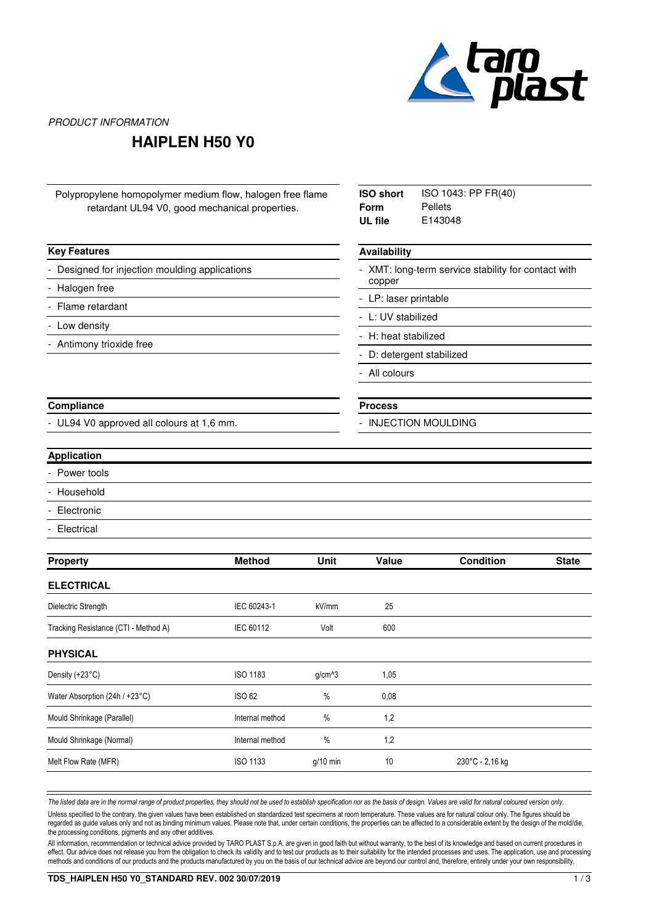

PRODUCT INFORMATION

## **HAIPLEN H50 Y0**

| Polypropylene homopolymer medium flow, halogen free flame<br>retardant UL94 V0, good mechanical properties. | <b>ISO short</b><br><b>Form</b><br>UL file | ISO 1043: PP FR(40)<br>Pellets<br>E143048 |                                                                                                                                      |                  |              |  |                        |  |  |             |                         |  |
|-------------------------------------------------------------------------------------------------------------|--------------------------------------------|-------------------------------------------|--------------------------------------------------------------------------------------------------------------------------------------|------------------|--------------|--|------------------------|--|--|-------------|-------------------------|--|
| <b>Key Features</b>                                                                                         |                                            | Availability                              |                                                                                                                                      |                  |              |  |                        |  |  |             |                         |  |
| Designed for injection moulding applications<br>Halogen free<br>Flame retardant<br>Low density              |                                            |                                           | - XMT: long-term service stability for contact with<br>copper<br>- LP: laser printable<br>- L: UV stabilized<br>- H: heat stabilized |                  |              |  |                        |  |  |             |                         |  |
|                                                                                                             |                                            |                                           |                                                                                                                                      |                  |              |  | Antimony trioxide free |  |  |             |                         |  |
|                                                                                                             |                                            |                                           |                                                                                                                                      |                  |              |  |                        |  |  |             | D: detergent stabilized |  |
|                                                                                                             |                                            |                                           |                                                                                                                                      |                  |              |  |                        |  |  | All colours |                         |  |
| Compliance                                                                                                  |                                            |                                           |                                                                                                                                      |                  |              |  | <b>Process</b>         |  |  |             |                         |  |
| UL94 V0 approved all colours at 1,6 mm.                                                                     |                                            |                                           | <b>INJECTION MOULDING</b>                                                                                                            |                  |              |  |                        |  |  |             |                         |  |
| <b>Application</b>                                                                                          |                                            |                                           |                                                                                                                                      |                  |              |  |                        |  |  |             |                         |  |
| Power tools                                                                                                 |                                            |                                           |                                                                                                                                      |                  |              |  |                        |  |  |             |                         |  |
| Household                                                                                                   |                                            |                                           |                                                                                                                                      |                  |              |  |                        |  |  |             |                         |  |
| Electronic                                                                                                  |                                            |                                           |                                                                                                                                      |                  |              |  |                        |  |  |             |                         |  |
| Electrical                                                                                                  |                                            |                                           |                                                                                                                                      |                  |              |  |                        |  |  |             |                         |  |
| <b>Property</b>                                                                                             | <b>Method</b>                              | Unit                                      | Value                                                                                                                                | <b>Condition</b> | <b>State</b> |  |                        |  |  |             |                         |  |
| <b>ELECTRICAL</b>                                                                                           |                                            |                                           |                                                                                                                                      |                  |              |  |                        |  |  |             |                         |  |
| Dielectric Strength                                                                                         | IEC 60243-1                                | kV/mm                                     | 25                                                                                                                                   |                  |              |  |                        |  |  |             |                         |  |
| Tracking Resistance (CTI - Method A)                                                                        | IEC 60112                                  | Volt                                      | 600                                                                                                                                  |                  |              |  |                        |  |  |             |                         |  |
| <b>PHYSICAL</b>                                                                                             |                                            |                                           |                                                                                                                                      |                  |              |  |                        |  |  |             |                         |  |
| Density (+23°C)                                                                                             | ISO 1183                                   | g/cm^3                                    | 1,05                                                                                                                                 |                  |              |  |                        |  |  |             |                         |  |
| Water Absorption (24h / +23°C)                                                                              | <b>ISO 62</b>                              | $\%$                                      | 0,08                                                                                                                                 |                  |              |  |                        |  |  |             |                         |  |
| Mould Shrinkage (Parallel)                                                                                  | Internal method                            | $\%$                                      | 1,2                                                                                                                                  |                  |              |  |                        |  |  |             |                         |  |
| Mould Shrinkage (Normal)                                                                                    | Internal method                            | $\%$                                      | 1,2                                                                                                                                  |                  |              |  |                        |  |  |             |                         |  |
| Melt Flow Rate (MFR)                                                                                        | ISO 1133                                   | g/10 min                                  | $10$                                                                                                                                 | 230°C - 2,16 kg  |              |  |                        |  |  |             |                         |  |
|                                                                                                             |                                            |                                           |                                                                                                                                      |                  |              |  |                        |  |  |             |                         |  |

The listed data are in the normal range of product properties, they should not be used to establish specification nor as the basis of design. Values are valid for natural coloured version only.

Unless specified to the contrary, the given values have been established on standardized test specimens at room temperature. These values are for natural colour only. The figures should be regarded as guide values only and not as binding minimum values. Please note that, under certain conditions, the properties can be affected to a considerable extent by the design of the mold/die, the processing conditions, pigments and any other additives.

All information, recommendation or technical advice provided by TARO PLAST S.p.A. are given in good faith but without warranty, to the best of its knowledge and based on current procedures in effect. Our advice does not release you from the obligation to check its validity and to test our products as to their suitability for the intended processes and uses. The application, use and processing methods and conditions of our products and the products manufactured by you on the basis of our technical advice are beyond our control and, therefore, entirely under your own responsibility.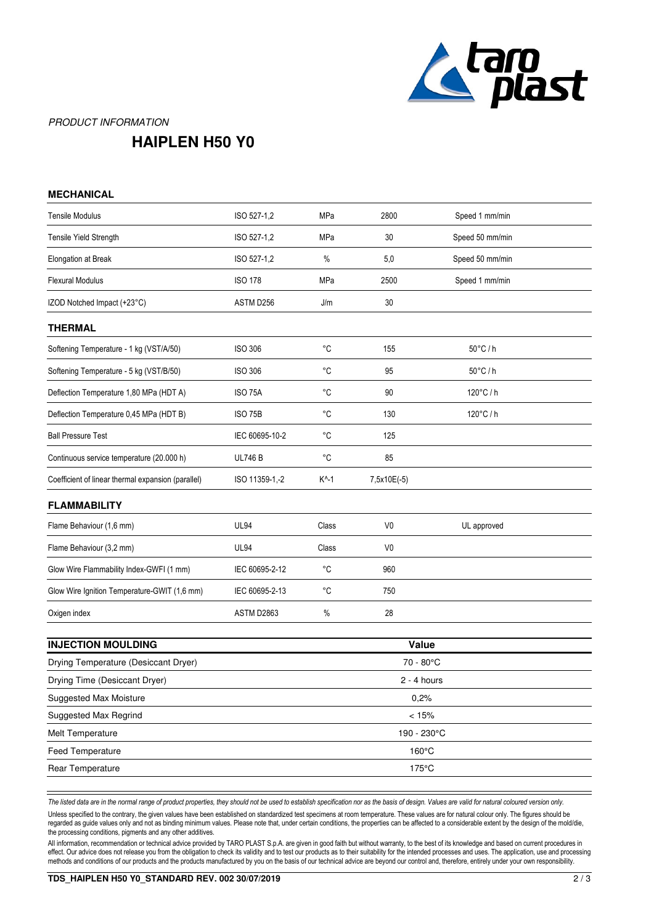

## PRODUCT INFORMATION

## **HAIPLEN H50 Y0**

| <b>MECHANICAL</b>                                  |                |                 |                |                   |  |  |
|----------------------------------------------------|----------------|-----------------|----------------|-------------------|--|--|
| <b>Tensile Modulus</b>                             | ISO 527-1,2    | MPa             | 2800           | Speed 1 mm/min    |  |  |
| Tensile Yield Strength                             | ISO 527-1,2    | MPa             | 30             | Speed 50 mm/min   |  |  |
| Elongation at Break                                | ISO 527-1,2    | %               | 5,0            | Speed 50 mm/min   |  |  |
| <b>Flexural Modulus</b>                            | <b>ISO 178</b> | MPa             | 2500           | Speed 1 mm/min    |  |  |
| IZOD Notched Impact (+23°C)                        | ASTM D256      | J/m             | 30             |                   |  |  |
| <b>THERMAL</b>                                     |                |                 |                |                   |  |  |
| Softening Temperature - 1 kg (VST/A/50)            | <b>ISO 306</b> | $^{\circ}C$     | 155            | $50^{\circ}$ C/h  |  |  |
| Softening Temperature - 5 kg (VST/B/50)            | <b>ISO 306</b> | $^{\circ}C$     | 95             | $50^{\circ}$ C/h  |  |  |
| Deflection Temperature 1,80 MPa (HDT A)            | <b>ISO 75A</b> | $^{\circ}C$     | 90             | $120^{\circ}$ C/h |  |  |
| Deflection Temperature 0,45 MPa (HDT B)            | <b>ISO 75B</b> | °C              | 130            | 120°C/h           |  |  |
| <b>Ball Pressure Test</b>                          | IEC 60695-10-2 | °C              | 125            |                   |  |  |
| Continuous service temperature (20.000 h)          | <b>UL746 B</b> | °C              | 85             |                   |  |  |
| Coefficient of linear thermal expansion (parallel) | ISO 11359-1,-2 | $K^{\wedge}$ -1 | 7,5x10E(-5)    |                   |  |  |
| <b>FLAMMABILITY</b>                                |                |                 |                |                   |  |  |
| Flame Behaviour (1,6 mm)                           | <b>UL94</b>    | Class           | V <sub>0</sub> | UL approved       |  |  |
| Flame Behaviour (3,2 mm)                           | <b>UL94</b>    | Class           | V <sub>0</sub> |                   |  |  |
| Glow Wire Flammability Index-GWFI (1 mm)           | IEC 60695-2-12 | °C              | 960            |                   |  |  |
| Glow Wire Ignition Temperature-GWIT (1,6 mm)       | IEC 60695-2-13 | °C              | 750            |                   |  |  |
| Oxigen index                                       | ASTM D2863     | %               | 28             |                   |  |  |
|                                                    |                |                 |                |                   |  |  |
| <b>INJECTION MOULDING</b>                          | Value          |                 |                |                   |  |  |
| Drying Temperature (Desiccant Dryer)               |                | 70 - 80°C       |                |                   |  |  |
| Drying Time (Desiccant Dryer)                      |                | $2 - 4$ hours   |                |                   |  |  |
| Suggested Max Moisture                             |                |                 | 0.2%           |                   |  |  |
| Suggested Max Regrind                              |                |                 | < 15%          |                   |  |  |
| Melt Temperature                                   |                | 190 - 230°C     |                |                   |  |  |

*The listed data are in the normal range of product properties, they should not be used to establish specification nor as the basis of design. Values are valid for natural coloured version only.*

Feed Temperature 160°C Rear Temperature 175°C

Unless specified to the contrary, the given values have been established on standardized test specimens at room temperature. These values are for natural colour only. The figures should be regarded as guide values only and not as binding minimum values. Please note that, under certain conditions, the properties can be affected to a considerable extent by the design of the mold/die, the processing conditions, pigments and any other additives.

All information, recommendation or technical advice provided by TARO PLAST S.p.A. are given in good faith but without warranty, to the best of its knowledge and based on current procedures in effect. Our advice does not release you from the obligation to check its validity and to test our products as to their suitability for the intended processes and uses. The application, use and processing methods and conditions of our products and the products manufactured by you on the basis of our technical advice are beyond our control and, therefore, entirely under your own responsibility.